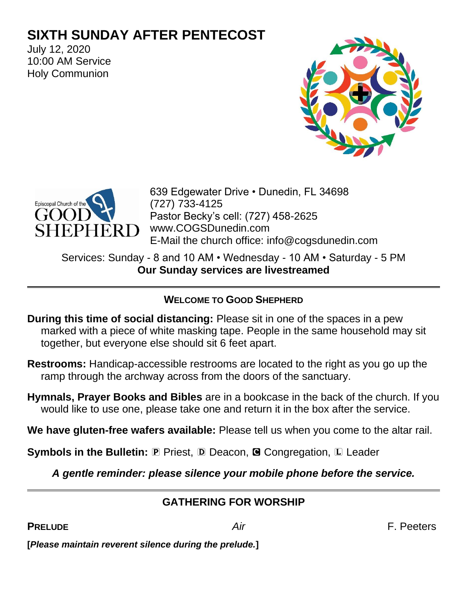# **SIXTH SUNDAY AFTER PENTECOST**

July 12, 2020 10:00 AM Service Holy Communion





639 Edgewater Drive • Dunedin, FL 34698 (727) 733-4125 Pastor Becky's cell: (727) 458-2625 www.COGSDunedin.com E-Mail the church office: info@cogsdunedin.com

Services: Sunday - 8 and 10 AM • Wednesday - 10 AM • Saturday - 5 PM **Our Sunday services are livestreamed**

# **WELCOME TO GOOD SHEPHERD**

- **During this time of social distancing:** Please sit in one of the spaces in a pew marked with a piece of white masking tape. People in the same household may sit together, but everyone else should sit 6 feet apart.
- **Restrooms:** Handicap-accessible restrooms are located to the right as you go up the ramp through the archway across from the doors of the sanctuary.
- **Hymnals, Prayer Books and Bibles** are in a bookcase in the back of the church. If you would like to use one, please take one and return it in the box after the service.
- **We have gluten-free wafers available:** Please tell us when you come to the altar rail.

**Symbols in the Bulletin: P** Priest, **D** Deacon, **G** Congregation, **L** Leader

*A gentle reminder: please silence your mobile phone before the service.*

# **GATHERING FOR WORSHIP**

**PRELUDE** *Air* F. Peeters

**[***Please maintain reverent silence during the prelude.***]**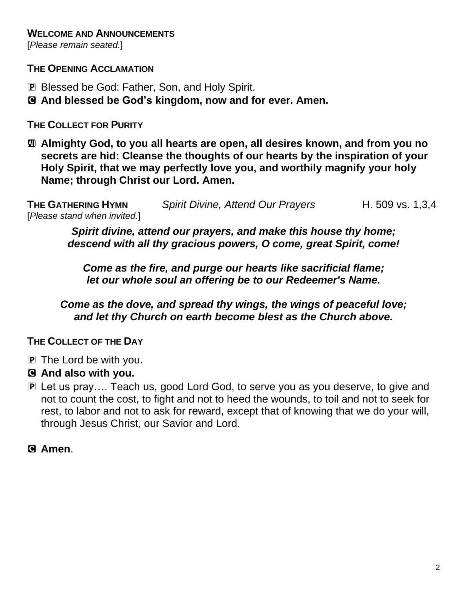[*Please remain seated.*]

#### **THE OPENING ACCLAMATION**

- P Blessed be God: Father, Son, and Holy Spirit.
- C **And blessed be God's kingdom, now and for ever. Amen.**

#### **THE COLLECT FOR PURITY**

a **Almighty God, to you all hearts are open, all desires known, and from you no secrets are hid: Cleanse the thoughts of our hearts by the inspiration of your Holy Spirit, that we may perfectly love you, and worthily magnify your holy Name; through Christ our Lord. Amen.**

**THE GATHERING HYMN** Spirit Divine, Attend Our Prayers H. 509 vs. 1,3,4 [*Please stand when invited.*]

*Spirit divine, attend our prayers, and make this house thy home; descend with all thy gracious powers, O come, great Spirit, come!*

*Come as the fire, and purge our hearts like sacrificial flame; let our whole soul an offering be to our Redeemer's Name.*

*Come as the dove, and spread thy wings, the wings of peaceful love; and let thy Church on earth become blest as the Church above.*

#### **THE COLLECT OF THE DAY**

P The Lord be with you.

#### C **And also with you.**

P Let us pray…. Teach us, good Lord God, to serve you as you deserve, to give and not to count the cost, to fight and not to heed the wounds, to toil and not to seek for rest, to labor and not to ask for reward, except that of knowing that we do your will, through Jesus Christ, our Savior and Lord.

#### C **Amen**.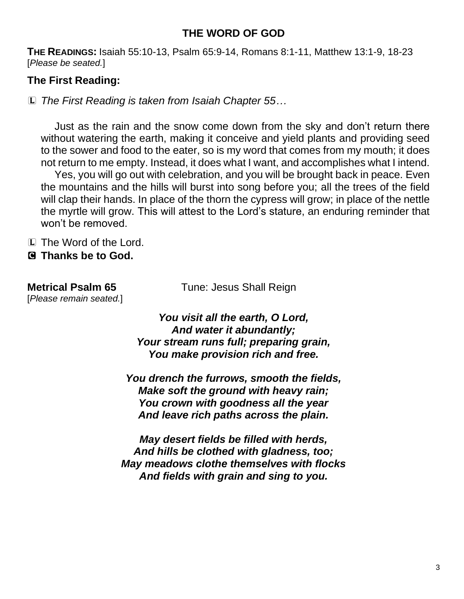#### **THE WORD OF GOD**

**THE READINGS:** Isaiah 55:10-13, Psalm 65:9-14, Romans 8:1-11, Matthew 13:1-9, 18-23 [*Please be seated.*]

# **The First Reading:**

L *The First Reading is taken from Isaiah Chapter 55…*

Just as the rain and the snow come down from the sky and don't return there without watering the earth, making it conceive and yield plants and providing seed to the sower and food to the eater, so is my word that comes from my mouth; it does not return to me empty. Instead, it does what I want, and accomplishes what I intend.

Yes, you will go out with celebration, and you will be brought back in peace. Even the mountains and the hills will burst into song before you; all the trees of the field will clap their hands. In place of the thorn the cypress will grow; in place of the nettle the myrtle will grow. This will attest to the Lord's stature, an enduring reminder that won't be removed.

L The Word of the Lord.

C **Thanks be to God.**

[*Please remain seated.*]

**Metrical Psalm 65** Tune: Jesus Shall Reign

*You visit all the earth, O Lord, And water it abundantly; Your stream runs full; preparing grain, You make provision rich and free.*

*You drench the furrows, smooth the fields, Make soft the ground with heavy rain; You crown with goodness all the year And leave rich paths across the plain.*

*May desert fields be filled with herds, And hills be clothed with gladness, too; May meadows clothe themselves with flocks And fields with grain and sing to you.*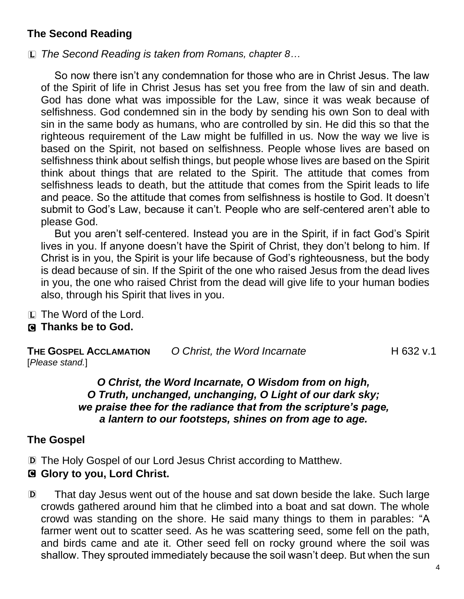# **The Second Reading**

L *The Second Reading is taken from Romans, chapter 8…*

So now there isn't any condemnation for those who are in Christ Jesus. The law of the Spirit of life in Christ Jesus has set you free from the law of sin and death. God has done what was impossible for the Law, since it was weak because of selfishness. God condemned sin in the body by sending his own Son to deal with sin in the same body as humans, who are controlled by sin. He did this so that the righteous requirement of the Law might be fulfilled in us. Now the way we live is based on the Spirit, not based on selfishness. People whose lives are based on selfishness think about selfish things, but people whose lives are based on the Spirit think about things that are related to the Spirit. The attitude that comes from selfishness leads to death, but the attitude that comes from the Spirit leads to life and peace. So the attitude that comes from selfishness is hostile to God. It doesn't submit to God's Law, because it can't. People who are self-centered aren't able to please God.

But you aren't self-centered. Instead you are in the Spirit, if in fact God's Spirit lives in you. If anyone doesn't have the Spirit of Christ, they don't belong to him. If Christ is in you, the Spirit is your life because of God's righteousness, but the body is dead because of sin. If the Spirit of the one who raised Jesus from the dead lives in you, the one who raised Christ from the dead will give life to your human bodies also, through his Spirit that lives in you.

L The Word of the Lord.

#### C **Thanks be to God.**

**THE GOSPEL ACCLAMATION** *O Christ, the Word Incarnate* **H** 632 v.1 [*Please stand.*]

#### *O Christ, the Word Incarnate, O Wisdom from on high, O Truth, unchanged, unchanging, O Light of our dark sky; we praise thee for the radiance that from the scripture's page, a lantern to our footsteps, shines on from age to age.*

#### **The Gospel**

D The Holy Gospel of our Lord Jesus Christ according to Matthew.

# C **Glory to you, Lord Christ.**

D That day Jesus went out of the house and sat down beside the lake. Such large crowds gathered around him that he climbed into a boat and sat down. The whole crowd was standing on the shore. He said many things to them in parables: "A farmer went out to scatter seed. As he was scattering seed, some fell on the path, and birds came and ate it. Other seed fell on rocky ground where the soil was shallow. They sprouted immediately because the soil wasn't deep. But when the sun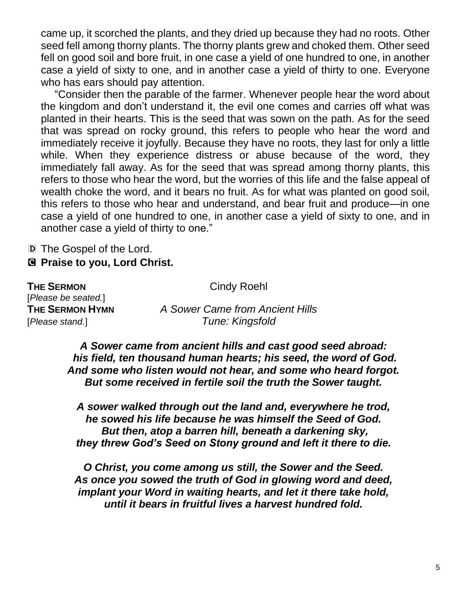came up, it scorched the plants, and they dried up because they had no roots. Other seed fell among thorny plants. The thorny plants grew and choked them. Other seed fell on good soil and bore fruit, in one case a yield of one hundred to one, in another case a yield of sixty to one, and in another case a yield of thirty to one. Everyone who has ears should pay attention.

"Consider then the parable of the farmer. Whenever people hear the word about the kingdom and don't understand it, the evil one comes and carries off what was planted in their hearts. This is the seed that was sown on the path. As for the seed that was spread on rocky ground, this refers to people who hear the word and immediately receive it joyfully. Because they have no roots, they last for only a little while. When they experience distress or abuse because of the word, they immediately fall away. As for the seed that was spread among thorny plants, this refers to those who hear the word, but the worries of this life and the false appeal of wealth choke the word, and it bears no fruit. As for what was planted on good soil, this refers to those who hear and understand, and bear fruit and produce—in one case a yield of one hundred to one, in another case a yield of sixty to one, and in another case a yield of thirty to one."

D The Gospel of the Lord.

C **Praise to you, Lord Christ.**

| <b>THE SERMON</b>      | <b>Cindy Roehl</b>              |
|------------------------|---------------------------------|
| [Please be seated.]    |                                 |
| <b>THE SERMON HYMN</b> | A Sower Came from Ancient Hills |
| [Please stand.]        | Tune: Kingsfold                 |

*A Sower came from ancient hills and cast good seed abroad: his field, ten thousand human hearts; his seed, the word of God. And some who listen would not hear, and some who heard forgot. But some received in fertile soil the truth the Sower taught.* 

*A sower walked through out the land and, everywhere he trod, he sowed his life because he was himself the Seed of God. But then, atop a barren hill, beneath a darkening sky, they threw God's Seed on Stony ground and left it there to die.* 

*O Christ, you come among us still, the Sower and the Seed. As once you sowed the truth of God in glowing word and deed, implant your Word in waiting hearts, and let it there take hold, until it bears in fruitful lives a harvest hundred fold.*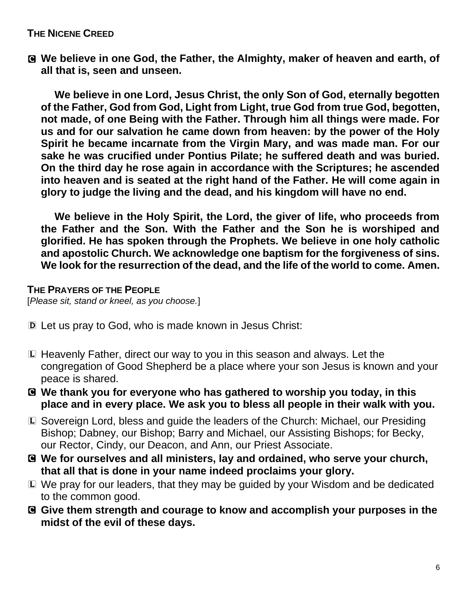#### **THE NICENE CREED**

C **We believe in one God, the Father, the Almighty, maker of heaven and earth, of all that is, seen and unseen.** 

**We believe in one Lord, Jesus Christ, the only Son of God, eternally begotten of the Father, God from God, Light from Light, true God from true God, begotten, not made, of one Being with the Father. Through him all things were made. For us and for our salvation he came down from heaven: by the power of the Holy Spirit he became incarnate from the Virgin Mary, and was made man. For our sake he was crucified under Pontius Pilate; he suffered death and was buried. On the third day he rose again in accordance with the Scriptures; he ascended into heaven and is seated at the right hand of the Father. He will come again in glory to judge the living and the dead, and his kingdom will have no end.**

**We believe in the Holy Spirit, the Lord, the giver of life, who proceeds from the Father and the Son. With the Father and the Son he is worshiped and glorified. He has spoken through the Prophets. We believe in one holy catholic and apostolic Church. We acknowledge one baptism for the forgiveness of sins. We look for the resurrection of the dead, and the life of the world to come. Amen.**

#### **THE PRAYERS OF THE PEOPLE**

[*Please sit, stand or kneel, as you choose.*]

- D Let us pray to God, who is made known in Jesus Christ:
- L Heavenly Father, direct our way to you in this season and always. Let the congregation of Good Shepherd be a place where your son Jesus is known and your peace is shared.
- C **We thank you for everyone who has gathered to worship you today, in this place and in every place. We ask you to bless all people in their walk with you.**
- L Sovereign Lord, bless and guide the leaders of the Church: Michael, our Presiding Bishop; Dabney, our Bishop; Barry and Michael, our Assisting Bishops; for Becky, our Rector, Cindy, our Deacon, and Ann, our Priest Associate.
- C **We for ourselves and all ministers, lay and ordained, who serve your church, that all that is done in your name indeed proclaims your glory.**
- L We pray for our leaders, that they may be guided by your Wisdom and be dedicated to the common good.
- C **Give them strength and courage to know and accomplish your purposes in the midst of the evil of these days.**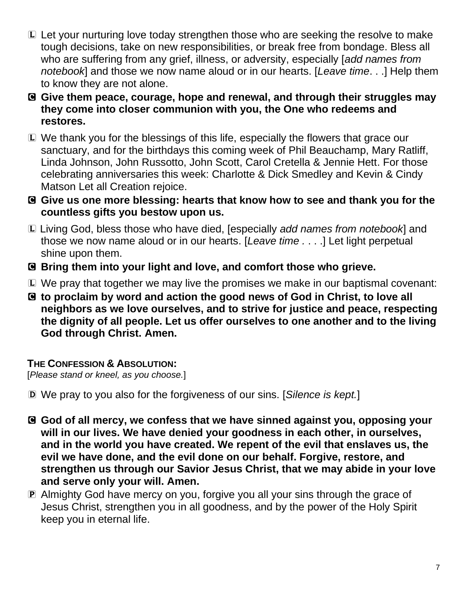- L Let your nurturing love today strengthen those who are seeking the resolve to make tough decisions, take on new responsibilities, or break free from bondage. Bless all who are suffering from any grief, illness, or adversity, especially [*add names from notebook*] and those we now name aloud or in our hearts. [*Leave time*. . .] Help them to know they are not alone.
- C **Give them peace, courage, hope and renewal, and through their struggles may they come into closer communion with you, the One who redeems and restores.**
- L We thank you for the blessings of this life, especially the flowers that grace our sanctuary, and for the birthdays this coming week of Phil Beauchamp, Mary Ratliff, Linda Johnson, John Russotto, John Scott, Carol Cretella & Jennie Hett. For those celebrating anniversaries this week: Charlotte & Dick Smedley and Kevin & Cindy Matson Let all Creation rejoice.
- C **Give us one more blessing: hearts that know how to see and thank you for the countless gifts you bestow upon us.**
- L Living God, bless those who have died, [especially *add names from notebook*] and those we now name aloud or in our hearts. [*Leave time .* . . .] Let light perpetual shine upon them.
- C **Bring them into your light and love, and comfort those who grieve.**
- L We pray that together we may live the promises we make in our baptismal covenant:
- C **to proclaim by word and action the good news of God in Christ, to love all neighbors as we love ourselves, and to strive for justice and peace, respecting the dignity of all people. Let us offer ourselves to one another and to the living God through Christ. Amen.**

#### **THE CONFESSION & ABSOLUTION:**

[*Please stand or kneel, as you choose.*]

- D We pray to you also for the forgiveness of our sins. [*Silence is kept.*]
- C **God of all mercy, we confess that we have sinned against you, opposing your will in our lives. We have denied your goodness in each other, in ourselves, and in the world you have created. We repent of the evil that enslaves us, the evil we have done, and the evil done on our behalf. Forgive, restore, and strengthen us through our Savior Jesus Christ, that we may abide in your love and serve only your will. Amen.**
- P Almighty God have mercy on you, forgive you all your sins through the grace of Jesus Christ, strengthen you in all goodness, and by the power of the Holy Spirit keep you in eternal life.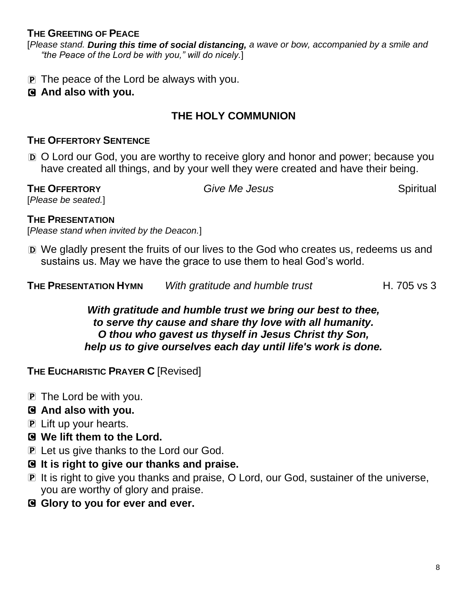#### **THE GREETING OF PEACE**

[*Please stand. During this time of social distancing, a wave or bow, accompanied by a smile and "the Peace of the Lord be with you," will do nicely.*]

P The peace of the Lord be always with you.

#### C **And also with you.**

## **THE HOLY COMMUNION**

#### **THE OFFERTORY SENTENCE**

D O Lord our God, you are worthy to receive glory and honor and power; because you have created all things, and by your well they were created and have their being.

**THE OFFERTORY** *Give Me Jesus* Spiritual [*Please be seated.*]

#### **THE PRESENTATION**

[*Please stand when invited by the Deacon.*]

D We gladly present the fruits of our lives to the God who creates us, redeems us and sustains us. May we have the grace to use them to heal God's world.

**THE PRESENTATION HYMN** *With gratitude and humble trust* **H. 705 vs 3** 

*With gratitude and humble trust we bring our best to thee, to serve thy cause and share thy love with all humanity. O thou who gavest us thyself in Jesus Christ thy Son, help us to give ourselves each day until life's work is done.*

**THE EUCHARISTIC PRAYER C** [Revised]

- P The Lord be with you.
- C **And also with you.**
- P Lift up your hearts.
- C **We lift them to the Lord.**
- P Let us give thanks to the Lord our God.
- C **It is right to give our thanks and praise.**
- P It is right to give you thanks and praise, O Lord, our God, sustainer of the universe, you are worthy of glory and praise.
- C **Glory to you for ever and ever.**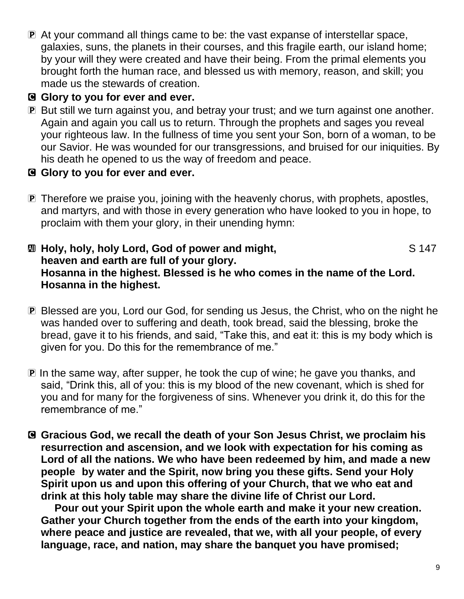P At your command all things came to be: the vast expanse of interstellar space, galaxies, suns, the planets in their courses, and this fragile earth, our island home; by your will they were created and have their being. From the primal elements you brought forth the human race, and blessed us with memory, reason, and skill; you made us the stewards of creation.

# C **Glory to you for ever and ever.**

P But still we turn against you, and betray your trust; and we turn against one another. Again and again you call us to return. Through the prophets and sages you reveal your righteous law. In the fullness of time you sent your Son, born of a woman, to be our Savior. He was wounded for our transgressions, and bruised for our iniquities. By his death he opened to us the way of freedom and peace.

# C **Glory to you for ever and ever.**

- P Therefore we praise you, joining with the heavenly chorus, with prophets, apostles, and martyrs, and with those in every generation who have looked to you in hope, to proclaim with them your glory, in their unending hymn:
- **20 Holy, holy, holy Lord, God of power and might, S 147 S 147 S 147 Resources Asset Asset Asset Asset Asset Asset Asset Asset Asset Asset Asset Asset Asset Asset Asset Asset Asset Asset Asset Asset Asset Asset Asset Asse heaven and earth are full of your glory. Hosanna in the highest. Blessed is he who comes in the name of the Lord. Hosanna in the highest.**
- P Blessed are you, Lord our God, for sending us Jesus, the Christ, who on the night he was handed over to suffering and death, took bread, said the blessing, broke the bread, gave it to his friends, and said, "Take this, and eat it: this is my body which is given for you. Do this for the remembrance of me."
- P In the same way, after supper, he took the cup of wine; he gave you thanks, and said, "Drink this, all of you: this is my blood of the new covenant, which is shed for you and for many for the forgiveness of sins. Whenever you drink it, do this for the remembrance of me."
- C **Gracious God, we recall the death of your Son Jesus Christ, we proclaim his resurrection and ascension, and we look with expectation for his coming as Lord of all the nations. We who have been redeemed by him, and made a new people by water and the Spirit, now bring you these gifts. Send your Holy Spirit upon us and upon this offering of your Church, that we who eat and drink at this holy table may share the divine life of Christ our Lord.**

**Pour out your Spirit upon the whole earth and make it your new creation. Gather your Church together from the ends of the earth into your kingdom, where peace and justice are revealed, that we, with all your people, of every language, race, and nation, may share the banquet you have promised;**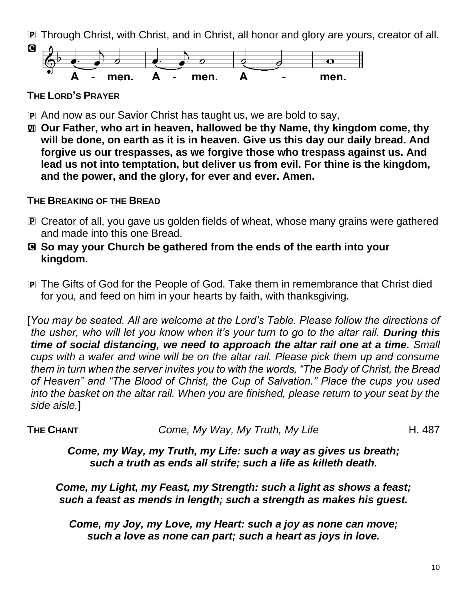P Through Christ, with Christ, and in Christ, all honor and glory are yours, creator of all.



#### **THE LORD'S PRAYER**

- P And now as our Savior Christ has taught us, we are bold to say,
- $\text{m}$  **Our Father, who art in heaven, hallowed be thy Name, thy kingdom come, thy will be done, on earth as it is in heaven. Give us this day our daily bread. And forgive us our trespasses, as we forgive those who trespass against us. And lead us not into temptation, but deliver us from evil. For thine is the kingdom, and the power, and the glory, for ever and ever. Amen.**

#### **THE BREAKING OF THE BREAD**

- P Creator of all, you gave us golden fields of wheat, whose many grains were gathered and made into this one Bread.
- C **So may your Church be gathered from the ends of the earth into your kingdom.**
- P The Gifts of God for the People of God. Take them in remembrance that Christ died for you, and feed on him in your hearts by faith, with thanksgiving.

[*You may be seated. All are welcome at the Lord's Table. Please follow the directions of the usher, who will let you know when it's your turn to go to the altar rail. During this time of social distancing, we need to approach the altar rail one at a time. Small cups with a wafer and wine will be on the altar rail. Please pick them up and consume them in turn when the server invites you to with the words, "The Body of Christ, the Bread of Heaven" and "The Blood of Christ, the Cup of Salvation." Place the cups you used*  into the basket on the altar rail. When you are finished, please return to your seat by the *side aisle.*]

**THE CHANT COME, My Way, My Truth, My Life H. 487** 

*Come, my Way, my Truth, my Life: such a way as gives us breath; such a truth as ends all strife; such a life as killeth death.*

*Come, my Light, my Feast, my Strength: such a light as shows a feast; such a feast as mends in length; such a strength as makes his guest.*

*Come, my Joy, my Love, my Heart: such a joy as none can move; such a love as none can part; such a heart as joys in love.*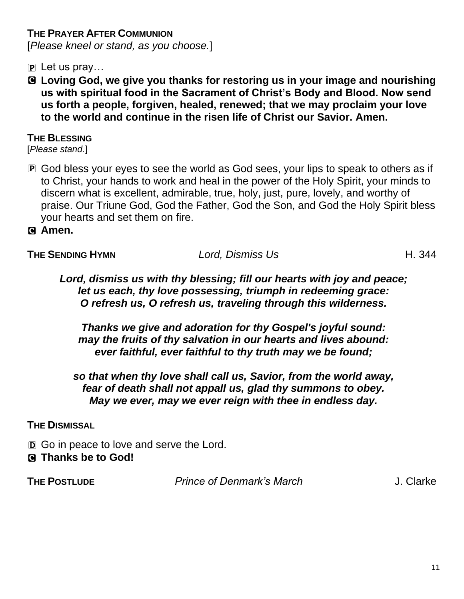### **THE PRAYER AFTER COMMUNION**

[*Please kneel or stand, as you choose.*]

 $\overline{p}$  Let us pray...

C **Loving God, we give you thanks for restoring us in your image and nourishing us with spiritual food in the Sacrament of Christ's Body and Blood. Now send us forth a people, forgiven, healed, renewed; that we may proclaim your love to the world and continue in the risen life of Christ our Savior. Amen.**

#### **THE BLESSING**

[*Please stand.*]

P God bless your eyes to see the world as God sees, your lips to speak to others as if to Christ, your hands to work and heal in the power of the Holy Spirit, your minds to discern what is excellent, admirable, true, holy, just, pure, lovely, and worthy of praise. Our Triune God, God the Father, God the Son, and God the Holy Spirit bless your hearts and set them on fire.

C **Amen.**

**THE SENDING HYMN** *Lord, Dismiss Us* **H. 344** 

*Lord, dismiss us with thy blessing; fill our hearts with joy and peace; let us each, thy love possessing, triumph in redeeming grace: O refresh us, O refresh us, traveling through this wilderness.*

*Thanks we give and adoration for thy Gospel's joyful sound: may the fruits of thy salvation in our hearts and lives abound: ever faithful, ever faithful to thy truth may we be found;*

*so that when thy love shall call us, Savior, from the world away, fear of death shall not appall us, glad thy summons to obey. May we ever, may we ever reign with thee in endless day.*

#### **THE DISMISSAL**

D Go in peace to love and serve the Lord. C **Thanks be to God!** 

**THE POSTLUDE** *Prince of Denmark's March* J. Clarke